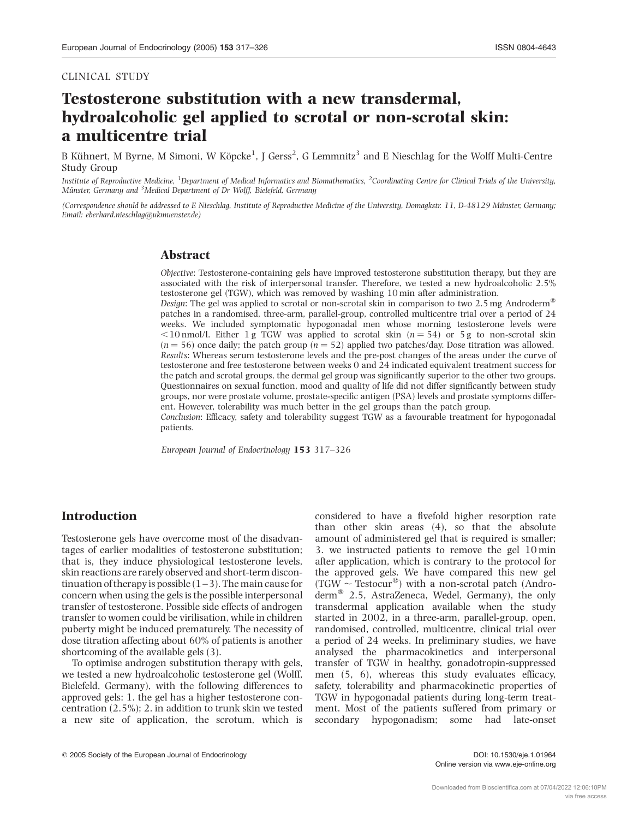#### CLINICAL STUDY

# Testosterone substitution with a new transdermal, hydroalcoholic gel applied to scrotal or non-scrotal skin: a multicentre trial

B Kühnert, M Byrne, M Simoni, W Köpcke $^1$ , J Gerss $^2$ , G Lemmnitz $^3$  and E Nieschlag for the Wolff Multi-Centre Study Group

Institute of Reproductive Medicine, <sup>1</sup>Department of Medical Informatics and Biomathematics, <sup>2</sup>Coordinating Centre for Clinical Trials of the University, Münster, Germany and <sup>3</sup>Medical Department of Dr Wolff, Bielefeld, Germany

(Correspondence should be addressed to E Nieschlag, Institute of Reproductive Medicine of the University, Domagkstr. 11, D-48129 Münster, Germany; Email: eberhard.nieschlag@ukmuenster.de)

# Abstract

Objective: Testosterone-containing gels have improved testosterone substitution therapy, but they are associated with the risk of interpersonal transfer. Therefore, we tested a new hydroalcoholic 2.5% testosterone gel (TGW), which was removed by washing 10 min after administration.

*Design*: The gel was applied to scrotal or non-scrotal skin in comparison to two 2.5 mg Androderm<sup>®</sup> patches in a randomised, three-arm, parallel-group, controlled multicentre trial over a period of 24 weeks. We included symptomatic hypogonadal men whose morning testosterone levels were  $\leq$ 10 nmol/l. Either 1 g TGW was applied to scrotal skin (n = 54) or 5 g to non-scrotal skin  $(n = 56)$  once daily; the patch group  $(n = 52)$  applied two patches/day. Dose titration was allowed. Results: Whereas serum testosterone levels and the pre-post changes of the areas under the curve of testosterone and free testosterone between weeks 0 and 24 indicated equivalent treatment success for the patch and scrotal groups, the dermal gel group was significantly superior to the other two groups. Questionnaires on sexual function, mood and quality of life did not differ significantly between study groups, nor were prostate volume, prostate-specific antigen (PSA) levels and prostate symptoms different. However, tolerability was much better in the gel groups than the patch group.

Conclusion: Efficacy, safety and tolerability suggest TGW as a favourable treatment for hypogonadal patients.

European Journal of Endocrinology 153 317–326

# Introduction

Testosterone gels have overcome most of the disadvantages of earlier modalities of testosterone substitution; that is, they induce physiological testosterone levels, skin reactions are rarely observed and short-term discontinuation of therapy is possible  $(1-3)$ . The main cause for concern when using the gels is the possible interpersonal transfer of testosterone. Possible side effects of androgen transfer to women could be virilisation, while in children puberty might be induced prematurely. The necessity of dose titration affecting about 60% of patients is another shortcoming of the available gels (3).

To optimise androgen substitution therapy with gels, we tested a new hydroalcoholic testosterone gel (Wolff, Bielefeld, Germany), with the following differences to approved gels: 1. the gel has a higher testosterone concentration (2.5%); 2. in addition to trunk skin we tested a new site of application, the scrotum, which is considered to have a fivefold higher resorption rate than other skin areas (4), so that the absolute amount of administered gel that is required is smaller; 3. we instructed patients to remove the gel 10 min after application, which is contrary to the protocol for the approved gels. We have compared this new gel  $(TGW \sim Testocur^{\circledast})$  with a non-scrotal patch (Androderm $^{\circledR}$  2.5, AstraZeneca, Wedel, Germany), the only transdermal application available when the study started in 2002, in a three-arm, parallel-group, open, randomised, controlled, multicentre, clinical trial over a period of 24 weeks. In preliminary studies, we have analysed the pharmacokinetics and interpersonal transfer of TGW in healthy, gonadotropin-suppressed men (5, 6), whereas this study evaluates efficacy, safety, tolerability and pharmacokinetic properties of TGW in hypogonadal patients during long-term treatment. Most of the patients suffered from primary or secondary hypogonadism; some had late-onset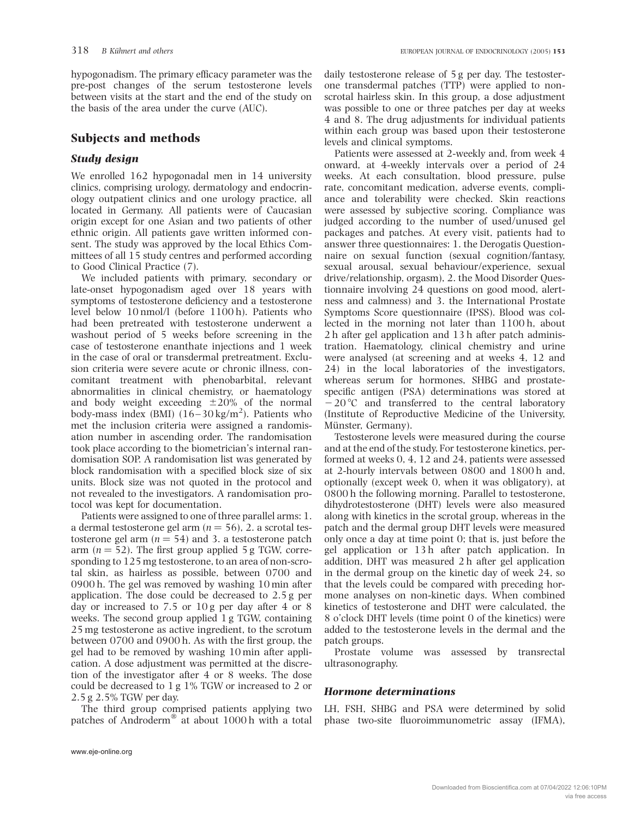hypogonadism. The primary efficacy parameter was the pre-post changes of the serum testosterone levels between visits at the start and the end of the study on the basis of the area under the curve (AUC).

# Subjects and methods

# Study design

We enrolled 162 hypogonadal men in 14 university clinics, comprising urology, dermatology and endocrinology outpatient clinics and one urology practice, all located in Germany. All patients were of Caucasian origin except for one Asian and two patients of other ethnic origin. All patients gave written informed consent. The study was approved by the local Ethics Committees of all 15 study centres and performed according to Good Clinical Practice (7).

We included patients with primary, secondary or late-onset hypogonadism aged over 18 years with symptoms of testosterone deficiency and a testosterone level below 10 nmol/l (before 1100 h). Patients who had been pretreated with testosterone underwent a washout period of 5 weeks before screening in the case of testosterone enanthate injections and 1 week in the case of oral or transdermal pretreatment. Exclusion criteria were severe acute or chronic illness, concomitant treatment with phenobarbital, relevant abnormalities in clinical chemistry, or haematology and body weight exceeding  $\pm 20\%$  of the normal body-mass index (BMI)  $(16-30 \text{ kg/m}^2)$ . Patients who met the inclusion criteria were assigned a randomisation number in ascending order. The randomisation took place according to the biometrician's internal randomisation SOP. A randomisation list was generated by block randomisation with a specified block size of six units. Block size was not quoted in the protocol and not revealed to the investigators. A randomisation protocol was kept for documentation.

Patients were assigned to one of three parallel arms: 1. a dermal testosterone gel arm ( $n = 56$ ), 2. a scrotal testosterone gel arm ( $n = 54$ ) and 3. a testosterone patch arm ( $n = 52$ ). The first group applied 5 g TGW, corresponding to 125 mg testosterone, to an area of non-scrotal skin, as hairless as possible, between 0700 and 0900 h. The gel was removed by washing 10 min after application. The dose could be decreased to 2.5 g per day or increased to 7.5 or 10 g per day after 4 or 8 weeks. The second group applied 1 g TGW, containing 25 mg testosterone as active ingredient, to the scrotum between 0700 and 0900 h. As with the first group, the gel had to be removed by washing 10 min after application. A dose adjustment was permitted at the discretion of the investigator after 4 or 8 weeks. The dose could be decreased to 1 g 1% TGW or increased to 2 or 2.5 g 2.5% TGW per day.

The third group comprised patients applying two patches of Androderm<sup>®</sup> at about 1000 h with a total

daily testosterone release of 5 g per day. The testosterone transdermal patches (TTP) were applied to nonscrotal hairless skin. In this group, a dose adjustment was possible to one or three patches per day at weeks 4 and 8. The drug adjustments for individual patients within each group was based upon their testosterone levels and clinical symptoms.

Patients were assessed at 2-weekly and, from week 4 onward, at 4-weekly intervals over a period of 24 weeks. At each consultation, blood pressure, pulse rate, concomitant medication, adverse events, compliance and tolerability were checked. Skin reactions were assessed by subjective scoring. Compliance was judged according to the number of used/unused gel packages and patches. At every visit, patients had to answer three questionnaires: 1. the Derogatis Questionnaire on sexual function (sexual cognition/fantasy, sexual arousal, sexual behaviour/experience, sexual drive/relationship, orgasm), 2. the Mood Disorder Questionnaire involving 24 questions on good mood, alertness and calmness) and 3. the International Prostate Symptoms Score questionnaire (IPSS). Blood was collected in the morning not later than 1100 h, about 2 h after gel application and 13 h after patch administration. Haematology, clinical chemistry and urine were analysed (at screening and at weeks 4, 12 and 24) in the local laboratories of the investigators, whereas serum for hormones, SHBG and prostatespecific antigen (PSA) determinations was stored at  $-20$  °C and transferred to the central laboratory (Institute of Reproductive Medicine of the University, Münster, Germany).

Testosterone levels were measured during the course and at the end of the study. For testosterone kinetics, performed at weeks 0, 4, 12 and 24, patients were assessed at 2-hourly intervals between 0800 and 1800 h and, optionally (except week 0, when it was obligatory), at 0800 h the following morning. Parallel to testosterone, dihydrotestosterone (DHT) levels were also measured along with kinetics in the scrotal group, whereas in the patch and the dermal group DHT levels were measured only once a day at time point 0; that is, just before the gel application or 13 h after patch application. In addition, DHT was measured 2 h after gel application in the dermal group on the kinetic day of week 24, so that the levels could be compared with preceding hormone analyses on non-kinetic days. When combined kinetics of testosterone and DHT were calculated, the 8 o'clock DHT levels (time point 0 of the kinetics) were added to the testosterone levels in the dermal and the patch groups.

Prostate volume was assessed by transrectal ultrasonography.

# Hormone determinations

LH, FSH, SHBG and PSA were determined by solid phase two-site fluoroimmunometric assay (IFMA),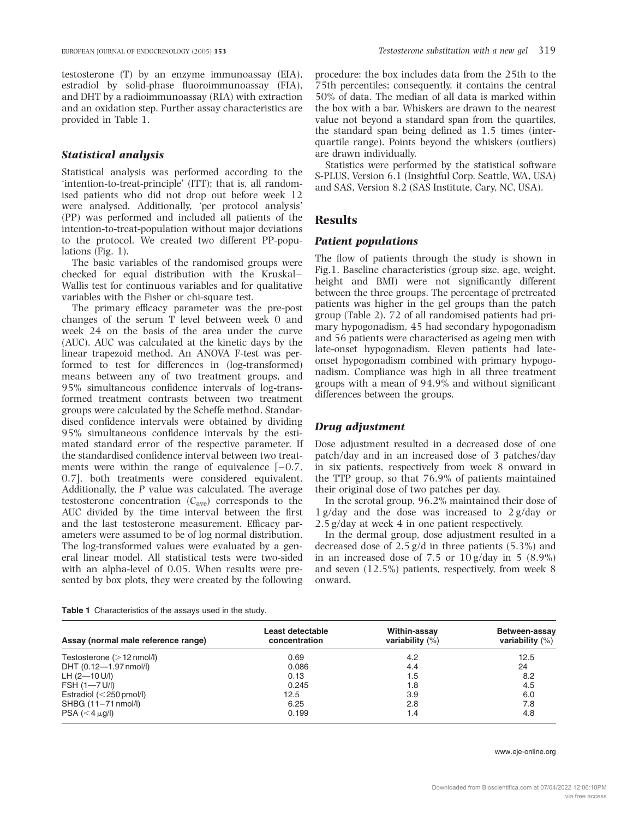testosterone (T) by an enzyme immunoassay (EIA), estradiol by solid-phase fluoroimmunoassay (FIA), and DHT by a radioimmunoassay (RIA) with extraction and an oxidation step. Further assay characteristics are provided in Table 1.

## Statistical analysis

Statistical analysis was performed according to the 'intention-to-treat-principle' (ITT); that is, all randomised patients who did not drop out before week 12 were analysed. Additionally, 'per protocol analysis' (PP) was performed and included all patients of the intention-to-treat-population without major deviations to the protocol. We created two different PP-populations (Fig. 1).

The basic variables of the randomised groups were checked for equal distribution with the Kruskal– Wallis test for continuous variables and for qualitative variables with the Fisher or chi-square test.

The primary efficacy parameter was the pre-post changes of the serum T level between week 0 and week 24 on the basis of the area under the curve (AUC). AUC was calculated at the kinetic days by the linear trapezoid method. An ANOVA F-test was performed to test for differences in (log-transformed) means between any of two treatment groups, and 95% simultaneous confidence intervals of log-transformed treatment contrasts between two treatment groups were calculated by the Scheffe method. Standardised confidence intervals were obtained by dividing 95% simultaneous confidence intervals by the estimated standard error of the respective parameter. If the standardised confidence interval between two treatments were within the range of equivalence  $[-0.7, 1.0]$ 0.7], both treatments were considered equivalent. Additionally, the P value was calculated. The average testosterone concentration  $(C_{ave})$  corresponds to the AUC divided by the time interval between the first and the last testosterone measurement. Efficacy parameters were assumed to be of log normal distribution. The log-transformed values were evaluated by a general linear model. All statistical tests were two-sided with an alpha-level of 0.05. When results were presented by box plots, they were created by the following

Table 1 Characteristics of the assays used in the study.

procedure: the box includes data from the 25th to the 75th percentiles; consequently, it contains the central 50% of data. The median of all data is marked within the box with a bar. Whiskers are drawn to the nearest value not beyond a standard span from the quartiles, the standard span being defined as 1.5 times (interquartile range). Points beyond the whiskers (outliers) are drawn individually.

Statistics were performed by the statistical software S-PLUS, Version 6.1 (Insightful Corp. Seattle, WA, USA) and SAS, Version 8.2 (SAS Institute, Cary, NC, USA).

## **Results**

#### Patient populations

The flow of patients through the study is shown in Fig.1. Baseline characteristics (group size, age, weight, height and BMI) were not significantly different between the three groups. The percentage of pretreated patients was higher in the gel groups than the patch group (Table 2). 72 of all randomised patients had primary hypogonadism, 45 had secondary hypogonadism and 56 patients were characterised as ageing men with late-onset hypogonadism. Eleven patients had lateonset hypogonadism combined with primary hypogonadism. Compliance was high in all three treatment groups with a mean of 94.9% and without significant differences between the groups.

# Drug adjustment

Dose adjustment resulted in a decreased dose of one patch/day and in an increased dose of 3 patches/day in six patients, respectively from week 8 onward in the TTP group, so that 76.9% of patients maintained their original dose of two patches per day.

In the scrotal group, 96.2% maintained their dose of 1 g/day and the dose was increased to 2 g/day or 2.5 g/day at week 4 in one patient respectively.

In the dermal group, dose adjustment resulted in a decreased dose of 2.5 g/d in three patients (5.3%) and in an increased dose of 7.5 or 10 g/day in 5 (8.9%) and seven (12.5%) patients, respectively, from week 8 onward.

| Assay (normal male reference range) | Least detectable<br>concentration | Within-assay<br>variability $(\%)$ | Between-assay<br>variability $(\%)$ |
|-------------------------------------|-----------------------------------|------------------------------------|-------------------------------------|
| Testosterone $(>12 \text{ nmol/l})$ | 0.69                              | 4.2                                | 12.5                                |
| DHT (0.12-1.97 nmol/l)              | 0.086                             | 4.4                                | 24                                  |
| $LH$ (2-10 U/I)                     | 0.13                              | 1.5                                | 8.2                                 |
| FSH (1-7 U/I)                       | 0.245                             | 1.8                                | 4.5                                 |
| Estradiol $(<$ 250 pmol/l)          | 12.5                              | 3.9                                | 6.0                                 |
| SHBG (11-71 nmol/l)                 | 6.25                              | 2.8                                | 7.8                                 |
| $PSA \ (< 4 \mu q/l)$               | 0.199                             | 1.4                                | 4.8                                 |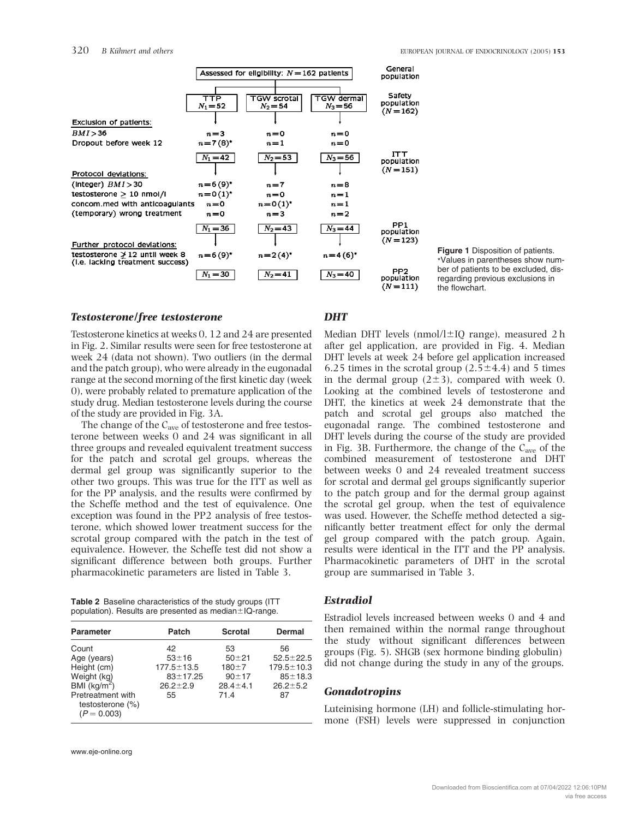|                                                                         | Assessed for eligibility: $N = 162$ patients |                                  |                                 | General<br>population                      |
|-------------------------------------------------------------------------|----------------------------------------------|----------------------------------|---------------------------------|--------------------------------------------|
| Exclusion of patients:                                                  | $\overline{\texttt{TTP}}$<br>$N_1 = 52$      | <b>TGW scrotal</b><br>$N_2 = 54$ | <b>TGW</b> dermal<br>$N_3 = 56$ | Safety<br>population<br>$(N=162)$          |
| BMI > 36                                                                | $n=3$                                        | $n = 0$                          | $n = 0$                         |                                            |
| Dropout before week 12                                                  | $n = 7(8)^{*}$                               | $n=1$                            | $n = 0$                         |                                            |
| Protocol deviations:                                                    | $N_1 = 42$                                   | $N_2 = 53$                       | $N_3 = 56$                      | <b>ITT</b><br>population<br>$(N=151)$      |
| (Integer) $BMI > 30$                                                    | $n = 6(9)^{*}$                               | $n=7$                            | $n = 8$                         |                                            |
| testosterone $> 10$ nmol/l                                              | $n = 0(1)^{*}$                               | $n = 0$                          | $n=1$                           |                                            |
| concom.med with anticoagulants                                          | $n = 0$                                      | $n = 0(1)^{n}$                   | $n=1$                           |                                            |
| (temporary) wrong treatment                                             | $n = 0$                                      | $n=3$                            | $n=2$                           |                                            |
| Further protocol deviations:                                            | $N_1 = 36$                                   | $N_2 = 43$                       | $N_3 = 44$                      | PP <sub>1</sub><br>population<br>$(N=123)$ |
| testosterone $\geq 12$ until week 8<br>(i.e. lacking treatment success) | $n = 6(9)$ *                                 | $n = 2(4)^{r}$                   | $n = 4(6)^{r}$                  |                                            |
|                                                                         | $N_1 = 30$                                   | $N_2 = 41$                       | $N_3 = 40$                      | PP <sub>2</sub><br>population<br>$(N=111)$ |

Figure 1 Disposition of patients. \*Values in parentheses show number of patients to be excluded, disregarding previous exclusions in the flowchart.

#### Testosterone/free testosterone

Testosterone kinetics at weeks 0, 12 and 24 are presented in Fig. 2. Similar results were seen for free testosterone at week 24 (data not shown). Two outliers (in the dermal and the patch group), who were already in the eugonadal range at the second morning of the first kinetic day (week 0), were probably related to premature application of the study drug. Median testosterone levels during the course of the study are provided in Fig. 3A.

The change of the C<sub>ave</sub> of testosterone and free testosterone between weeks 0 and 24 was significant in all three groups and revealed equivalent treatment success for the patch and scrotal gel groups, whereas the dermal gel group was significantly superior to the other two groups. This was true for the ITT as well as for the PP analysis, and the results were confirmed by the Scheffe method and the test of equivalence. One exception was found in the PP2 analysis of free testosterone, which showed lower treatment success for the scrotal group compared with the patch in the test of equivalence. However, the Scheffe test did not show a significant difference between both groups. Further pharmacokinetic parameters are listed in Table 3.

| <b>Table 2</b> Baseline characteristics of the study groups (ITT |  |
|------------------------------------------------------------------|--|
| population). Results are presented as median ± IQ-range.         |  |

| <b>Parameter</b>                                                                                              | Patch                                                                       | <b>Scrotal</b>                                                      | Dermal                                                                           |
|---------------------------------------------------------------------------------------------------------------|-----------------------------------------------------------------------------|---------------------------------------------------------------------|----------------------------------------------------------------------------------|
| Count<br>Age (years)<br>Height (cm)<br>Weight (kg)<br>BMI $(kq/m^2)$<br>Pretreatment with<br>testosterone (%) | 42<br>$53 + 16$<br>$177.5 \pm 13.5$<br>$83 + 17.25$<br>$26.2 \pm 2.9$<br>55 | 53<br>$50 + 21$<br>$180 + 7$<br>$90 + 17$<br>$28.4 \pm 4.1$<br>71.4 | 56<br>$52.5 \pm 22.5$<br>$179.5 \pm 10.3$<br>$85 + 18.3$<br>$26.2 \pm 5.2$<br>87 |
| $(P = 0.003)$                                                                                                 |                                                                             |                                                                     |                                                                                  |

# **DHT**

Median DHT levels (nmol/l $\pm$ IQ range), measured 2 h after gel application, are provided in Fig. 4. Median DHT levels at week 24 before gel application increased 6.25 times in the scrotal group  $(2.5\pm4.4)$  and 5 times in the dermal group  $(2\pm 3)$ , compared with week 0. Looking at the combined levels of testosterone and DHT, the kinetics at week 24 demonstrate that the patch and scrotal gel groups also matched the eugonadal range. The combined testosterone and DHT levels during the course of the study are provided in Fig. 3B. Furthermore, the change of the  $C_{\text{ave}}$  of the combined measurement of testosterone and DHT between weeks 0 and 24 revealed treatment success for scrotal and dermal gel groups significantly superior to the patch group and for the dermal group against the scrotal gel group, when the test of equivalence was used. However, the Scheffe method detected a significantly better treatment effect for only the dermal gel group compared with the patch group. Again, results were identical in the ITT and the PP analysis. Pharmacokinetic parameters of DHT in the scrotal group are summarised in Table 3.

#### Estradiol

Estradiol levels increased between weeks 0 and 4 and then remained within the normal range throughout the study without significant differences between groups (Fig. 5). SHGB (sex hormone binding globulin) did not change during the study in any of the groups.

#### **Gonadotropins**

Luteinising hormone (LH) and follicle-stimulating hormone (FSH) levels were suppressed in conjunction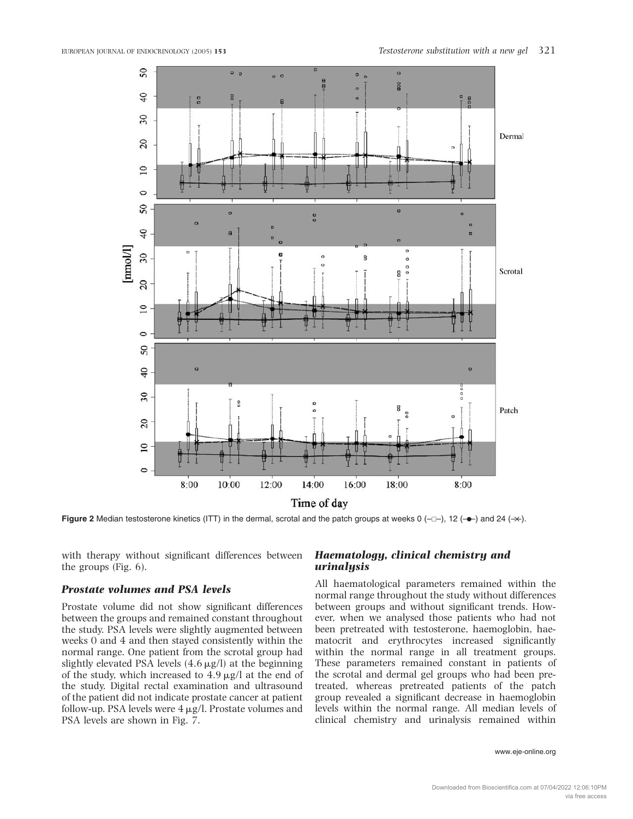

Figure 2 Median testosterone kinetics (ITT) in the dermal, scrotal and the patch groups at weeks 0 ( $\neg$ ), 12 ( $\neg$ ) and 24 ( $\neg$ ).

with therapy without significant differences between the groups (Fig. 6).

# Prostate volumes and PSA levels

Prostate volume did not show significant differences between the groups and remained constant throughout the study. PSA levels were slightly augmented between weeks 0 and 4 and then stayed consistently within the normal range. One patient from the scrotal group had slightly elevated PSA levels  $(4.6 \,\mu\text{g/l})$  at the beginning of the study, which increased to  $4.9 \mu g/l$  at the end of the study. Digital rectal examination and ultrasound of the patient did not indicate prostate cancer at patient follow-up. PSA levels were  $4 \mu g/l$ . Prostate volumes and PSA levels are shown in Fig. 7.

# Haematology, clinical chemistry and urinalysis

All haematological parameters remained within the normal range throughout the study without differences between groups and without significant trends. However, when we analysed those patients who had not been pretreated with testosterone, haemoglobin, haematocrit and erythrocytes increased significantly within the normal range in all treatment groups. These parameters remained constant in patients of the scrotal and dermal gel groups who had been pretreated, whereas pretreated patients of the patch group revealed a significant decrease in haemoglobin levels within the normal range. All median levels of clinical chemistry and urinalysis remained within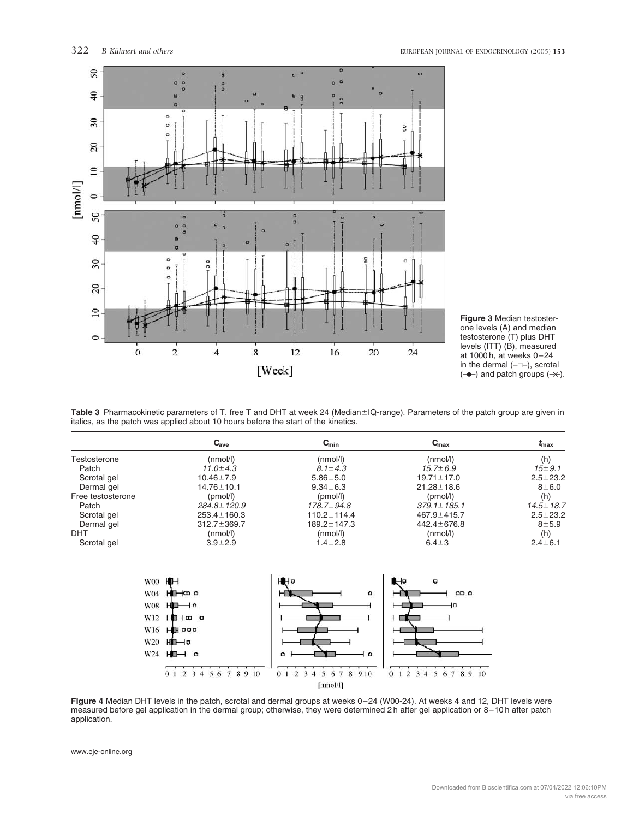

Figure 3 Median testosterone levels (A) and median testosterone (T) plus DHT levels (ITT) (B), measured at 1000 h, at weeks 0–24 in the dermal  $(-\Box -)$ , scrotal  $(-\rightarrow)$  and patch groups  $(\rightarrow)$ .

Table 3 Pharmacokinetic parameters of T, free T and DHT at week 24 (Median±IQ-range). Parameters of the patch group are given in italics, as the patch was applied about 10 hours before the start of the kinetics.

|                   | $C_{ave}$         | $C_{\min}$        | $C_{\rm max}$     | ≀max            |
|-------------------|-------------------|-------------------|-------------------|-----------------|
| Testosterone      | (mmol/l)          | (nmol/l)          | (mmol/l)          | (h)             |
| Patch             | $11.0 \pm 4.3$    | 8.1 $\pm$ 4.3     | $15.7 \pm 6.9$    | $15 \pm 9.1$    |
| Scrotal gel       | $10.46 \pm 7.9$   | $5.86 \pm 5.0$    | $19.71 \pm 17.0$  | $2.5 \pm 23.2$  |
| Dermal gel        | $14.76 \pm 10.1$  | $9.34 \pm 6.3$    | $21.28 \pm 18.6$  | $8\pm 6.0$      |
| Free testosterone | (pmol/l)          | (pmol/l)          | (pmol/l)          | (h)             |
| Patch             | $284.8 \pm 120.9$ | $178.7 \pm 94.8$  | $379.1 \pm 185.1$ | $14.5 \pm 18.7$ |
| Scrotal gel       | $253.4 \pm 160.3$ | $110.2 \pm 114.4$ | 467.9±415.7       | $2.5 \pm 23.2$  |
| Dermal gel        | $312.7 \pm 369.7$ | 189.2 ± 147.3     | $442.4 \pm 676.8$ | $8 + 5.9$       |
| DHT               | (mmol/l)          | (nmol/l)          | (mmol/l)          | (h)             |
| Scrotal gel       | $3.9 + 2.9$       | $1.4 \pm 2.8$     | $6.4 + 3$         | $2.4 \pm 6.1$   |



Figure 4 Median DHT levels in the patch, scrotal and dermal groups at weeks 0-24 (W00-24). At weeks 4 and 12, DHT levels were measured before gel application in the dermal group; otherwise, they were determined 2 h after gel application or 8–10 h after patch application.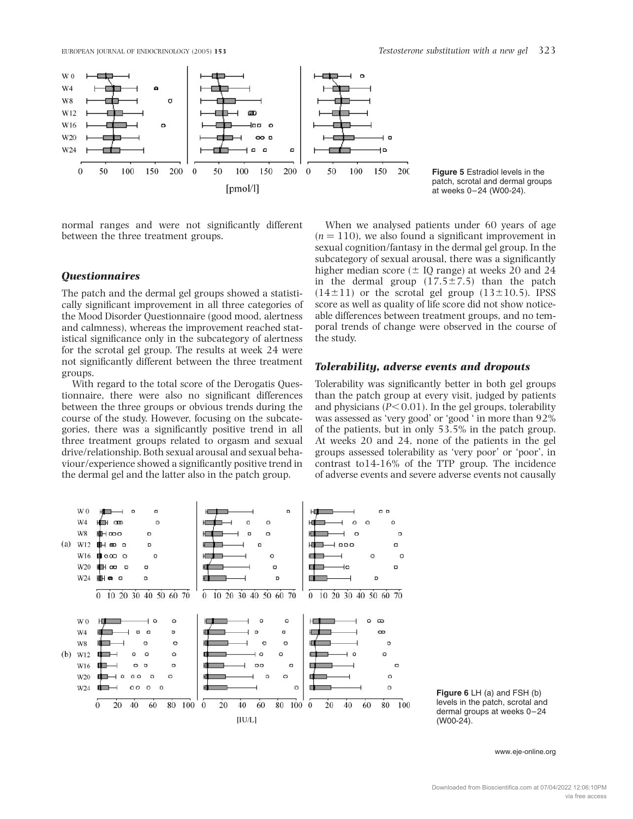



normal ranges and were not significantly different between the three treatment groups.

# **Ouestionnaires**

The patch and the dermal gel groups showed a statistically significant improvement in all three categories of the Mood Disorder Questionnaire (good mood, alertness and calmness), whereas the improvement reached statistical significance only in the subcategory of alertness for the scrotal gel group. The results at week 24 were not significantly different between the three treatment groups.

With regard to the total score of the Derogatis Questionnaire, there were also no significant differences between the three groups or obvious trends during the course of the study. However, focusing on the subcategories, there was a significantly positive trend in all three treatment groups related to orgasm and sexual drive/relationship. Both sexual arousal and sexual behaviour/experience showed a significantly positive trend in the dermal gel and the latter also in the patch group.

When we analysed patients under 60 years of age  $(n = 110)$ , we also found a significant improvement in sexual cognition/fantasy in the dermal gel group. In the subcategory of sexual arousal, there was a significantly higher median score  $(\pm 10 \text{ range})$  at weeks 20 and 24 in the dermal group  $(17.5\pm7.5)$  than the patch  $(14\pm11)$  or the scrotal gel group  $(13\pm10.5)$ . IPSS score as well as quality of life score did not show noticeable differences between treatment groups, and no temporal trends of change were observed in the course of the study.

Figure 5 Estradiol levels in the patch, scrotal and dermal groups at weeks 0–24 (W00-24).

## Tolerability, adverse events and dropouts

Tolerability was significantly better in both gel groups than the patch group at every visit, judged by patients and physicians ( $P<0.01$ ). In the gel groups, tolerability was assessed as 'very good' or 'good ' in more than 92% of the patients, but in only 53.5% in the patch group. At weeks 20 and 24, none of the patients in the gel groups assessed tolerability as 'very poor' or 'poor', in contrast to14-16% of the TTP group. The incidence of adverse events and severe adverse events not causally



Figure 6 LH (a) and FSH (b) levels in the patch, scrotal and dermal groups at weeks 0–24 (W00-24).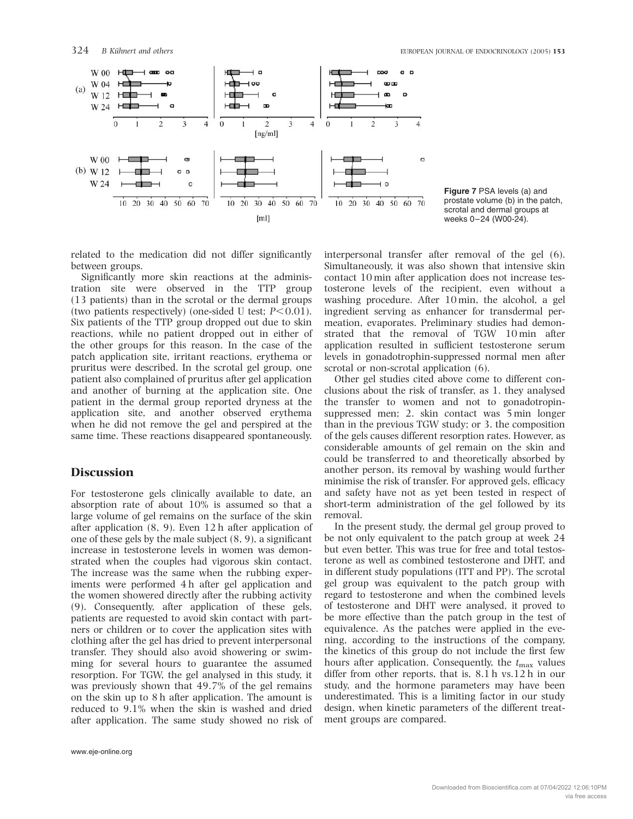

Figure 7 PSA levels (a) and prostate volume (b) in the patch, scrotal and dermal groups at weeks 0–24 (W00-24).

related to the medication did not differ significantly between groups.

Significantly more skin reactions at the administration site were observed in the TTP group (13 patients) than in the scrotal or the dermal groups (two patients respectively) (one-sided U test;  $P<0.01$ ). Six patients of the TTP group dropped out due to skin reactions, while no patient dropped out in either of the other groups for this reason. In the case of the patch application site, irritant reactions, erythema or pruritus were described. In the scrotal gel group, one patient also complained of pruritus after gel application and another of burning at the application site. One patient in the dermal group reported dryness at the application site, and another observed erythema when he did not remove the gel and perspired at the same time. These reactions disappeared spontaneously.

# **Discussion**

For testosterone gels clinically available to date, an absorption rate of about 10% is assumed so that a large volume of gel remains on the surface of the skin after application (8, 9). Even 12 h after application of one of these gels by the male subject (8, 9), a significant increase in testosterone levels in women was demonstrated when the couples had vigorous skin contact. The increase was the same when the rubbing experiments were performed 4 h after gel application and the women showered directly after the rubbing activity (9). Consequently, after application of these gels, patients are requested to avoid skin contact with partners or children or to cover the application sites with clothing after the gel has dried to prevent interpersonal transfer. They should also avoid showering or swimming for several hours to guarantee the assumed resorption. For TGW, the gel analysed in this study, it was previously shown that 49.7% of the gel remains on the skin up to 8 h after application. The amount is reduced to 9.1% when the skin is washed and dried after application. The same study showed no risk of interpersonal transfer after removal of the gel (6). Simultaneously, it was also shown that intensive skin contact 10 min after application does not increase testosterone levels of the recipient, even without a washing procedure. After 10 min, the alcohol, a gel ingredient serving as enhancer for transdermal permeation, evaporates. Preliminary studies had demonstrated that the removal of TGW 10 min after application resulted in sufficient testosterone serum levels in gonadotrophin-suppressed normal men after scrotal or non-scrotal application (6).

Other gel studies cited above come to different conclusions about the risk of transfer, as 1. they analysed the transfer to women and not to gonadotropinsuppressed men; 2. skin contact was 5 min longer than in the previous TGW study; or 3. the composition of the gels causes different resorption rates. However, as considerable amounts of gel remain on the skin and could be transferred to and theoretically absorbed by another person, its removal by washing would further minimise the risk of transfer. For approved gels, efficacy and safety have not as yet been tested in respect of short-term administration of the gel followed by its removal.

In the present study, the dermal gel group proved to be not only equivalent to the patch group at week 24 but even better. This was true for free and total testosterone as well as combined testosterone and DHT, and in different study populations (ITT and PP). The scrotal gel group was equivalent to the patch group with regard to testosterone and when the combined levels of testosterone and DHT were analysed, it proved to be more effective than the patch group in the test of equivalence. As the patches were applied in the evening, according to the instructions of the company, the kinetics of this group do not include the first few hours after application. Consequently, the  $t_{\text{max}}$  values differ from other reports, that is, 8.1 h vs.12 h in our study, and the hormone parameters may have been underestimated. This is a limiting factor in our study design, when kinetic parameters of the different treatment groups are compared.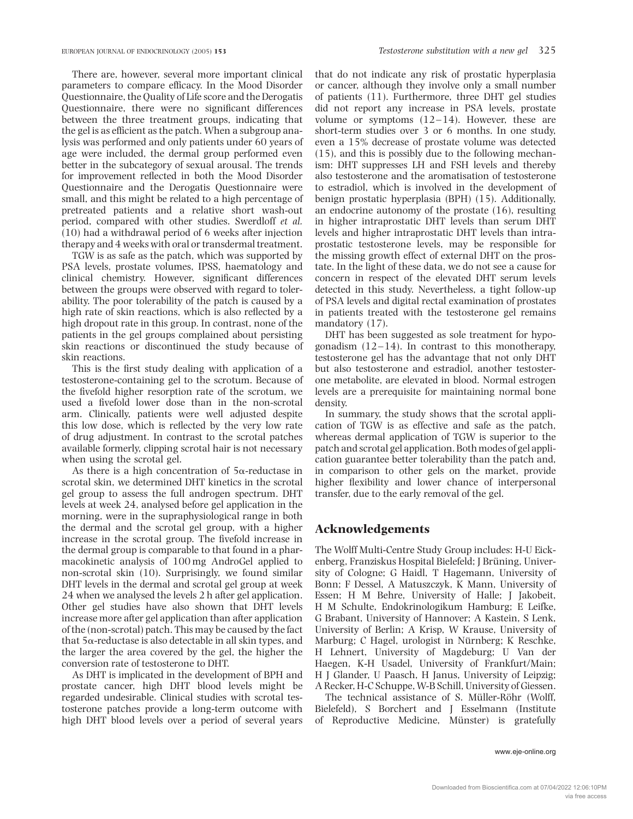There are, however, several more important clinical parameters to compare efficacy. In the Mood Disorder Questionnaire, the Quality of Life score and the Derogatis Questionnaire, there were no significant differences between the three treatment groups, indicating that the gel is as efficient as the patch. When a subgroup analysis was performed and only patients under 60 years of age were included, the dermal group performed even better in the subcategory of sexual arousal. The trends for improvement reflected in both the Mood Disorder Questionnaire and the Derogatis Questionnaire were small, and this might be related to a high percentage of pretreated patients and a relative short wash-out period, compared with other studies. Swerdloff et al. (10) had a withdrawal period of 6 weeks after injection therapy and 4 weeks with oral or transdermal treatment.

TGW is as safe as the patch, which was supported by PSA levels, prostate volumes, IPSS, haematology and clinical chemistry. However, significant differences between the groups were observed with regard to tolerability. The poor tolerability of the patch is caused by a high rate of skin reactions, which is also reflected by a high dropout rate in this group. In contrast, none of the patients in the gel groups complained about persisting skin reactions or discontinued the study because of skin reactions.

This is the first study dealing with application of a testosterone-containing gel to the scrotum. Because of the fivefold higher resorption rate of the scrotum, we used a fivefold lower dose than in the non-scrotal arm. Clinically, patients were well adjusted despite this low dose, which is reflected by the very low rate of drug adjustment. In contrast to the scrotal patches available formerly, clipping scrotal hair is not necessary when using the scrotal gel.

As there is a high concentration of  $5\alpha$ -reductase in scrotal skin, we determined DHT kinetics in the scrotal gel group to assess the full androgen spectrum. DHT levels at week 24, analysed before gel application in the morning, were in the supraphysiological range in both the dermal and the scrotal gel group, with a higher increase in the scrotal group. The fivefold increase in the dermal group is comparable to that found in a pharmacokinetic analysis of 100 mg AndroGel applied to non-scrotal skin (10). Surprisingly, we found similar DHT levels in the dermal and scrotal gel group at week 24 when we analysed the levels 2 h after gel application. Other gel studies have also shown that DHT levels increase more after gel application than after application of the (non-scrotal) patch. This may be caused by the fact that  $5\alpha$ -reductase is also detectable in all skin types, and the larger the area covered by the gel, the higher the conversion rate of testosterone to DHT.

As DHT is implicated in the development of BPH and prostate cancer, high DHT blood levels might be regarded undesirable. Clinical studies with scrotal testosterone patches provide a long-term outcome with high DHT blood levels over a period of several years that do not indicate any risk of prostatic hyperplasia or cancer, although they involve only a small number of patients (11). Furthermore, three DHT gel studies did not report any increase in PSA levels, prostate volume or symptoms  $(12-14)$ . However, these are short-term studies over 3 or 6 months. In one study, even a 15% decrease of prostate volume was detected (15), and this is possibly due to the following mechanism: DHT suppresses LH and FSH levels and thereby also testosterone and the aromatisation of testosterone to estradiol, which is involved in the development of benign prostatic hyperplasia (BPH) (15). Additionally, an endocrine autonomy of the prostate (16), resulting in higher intraprostatic DHT levels than serum DHT levels and higher intraprostatic DHT levels than intraprostatic testosterone levels, may be responsible for the missing growth effect of external DHT on the prostate. In the light of these data, we do not see a cause for concern in respect of the elevated DHT serum levels detected in this study. Nevertheless, a tight follow-up of PSA levels and digital rectal examination of prostates in patients treated with the testosterone gel remains mandatory  $(17)$ .

DHT has been suggested as sole treatment for hypogonadism  $(12-14)$ . In contrast to this monotherapy, testosterone gel has the advantage that not only DHT but also testosterone and estradiol, another testosterone metabolite, are elevated in blood. Normal estrogen levels are a prerequisite for maintaining normal bone density.

In summary, the study shows that the scrotal application of TGW is as effective and safe as the patch, whereas dermal application of TGW is superior to the patch and scrotal gel application. Both modes of gel application guarantee better tolerability than the patch and, in comparison to other gels on the market, provide higher flexibility and lower chance of interpersonal transfer, due to the early removal of the gel.

# Acknowledgements

The Wolff Multi-Centre Study Group includes: H-U Eickenberg, Franziskus Hospital Bielefeld; J Brüning, University of Cologne; G Haidl, T Hagemann, University of Bonn; F Dessel, A Matuszczyk, K Mann, University of Essen; H M Behre, University of Halle; J Jakobeit, H M Schulte, Endokrinologikum Hamburg; E Leifke, G Brabant, University of Hannover; A Kastein, S Lenk, University of Berlin; A Krisp, W Krause, University of Marburg; C Hagel, urologist in Nürnberg; K Reschke, H Lehnert, University of Magdeburg; U Van der Haegen, K-H Usadel, University of Frankfurt/Main; H J Glander, U Paasch, H Janus, University of Leipzig; A Recker, H-C Schuppe, W-B Schill, University of Giessen.

The technical assistance of S. Müller-Röhr (Wolff, Bielefeld), S Borchert and J Esselmann (Institute of Reproductive Medicine, Münster) is gratefully